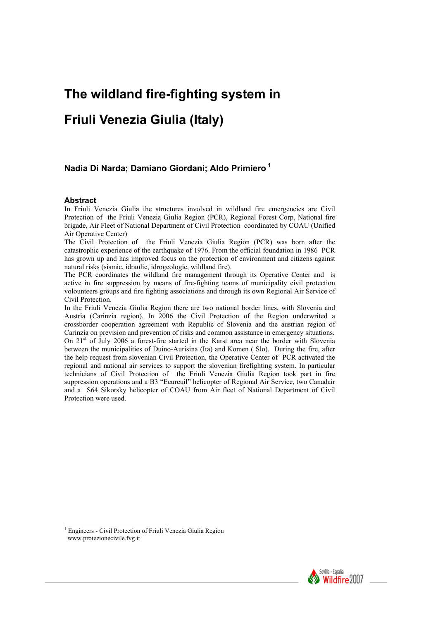# **The wildland fire-fighting system in**

# **Friuli Venezia Giulia (Italy)**

## **Nadia Di Narda; Damiano Giordani; Aldo Primiero<sup>1</sup>**

#### **Abstract**

In Friuli Venezia Giulia the structures involved in wildland fire emergencies are Civil Protection of the Friuli Venezia Giulia Region (PCR), Regional Forest Corp, National fire brigade, Air Fleet of National Department of Civil Protection coordinated by COAU (Unified Air Operative Center)

The Civil Protection of the Friuli Venezia Giulia Region (PCR) was born after the catastrophic experience of the earthquake of 1976. From the official foundation in 1986 PCR has grown up and has improved focus on the protection of environment and citizens against natural risks (sismic, idraulic, idrogeologic, wildland fire).

The PCR coordinates the wildland fire management through its Operative Center and is active in fire suppression by means of fire-fighting teams of municipality civil protection volounteers groups and fire fighting associations and through its own Regional Air Service of Civil Protection.

In the Friuli Venezia Giulia Region there are two national border lines, with Slovenia and Austria (Carinzia region). In 2006 the Civil Protection of the Region underwrited a crossborder cooperation agreement with Republic of Slovenia and the austrian region of Carinzia on prevision and prevention of risks and common assistance in emergency situations. On 21st of July 2006 a forest-fire started in the Karst area near the border with Slovenia between the municipalities of Duino-Aurisina (Ita) and Komen ( Slo). During the fire, after the help request from slovenian Civil Protection, the Operative Center of PCR activated the regional and national air services to support the slovenian firefighting system. In particular technicians of Civil Protection of the Friuli Venezia Giulia Region took part in fire suppression operations and a B3 "Ecureuil" helicopter of Regional Air Service, two Canadair and a S64 Sikorsky helicopter of COAU from Air fleet of National Department of Civil Protection were used.



<sup>&</sup>lt;sup>1</sup> Engineers - Civil Protection of Friuli Venezia Giulia Region www.protezionecivile.fvg.it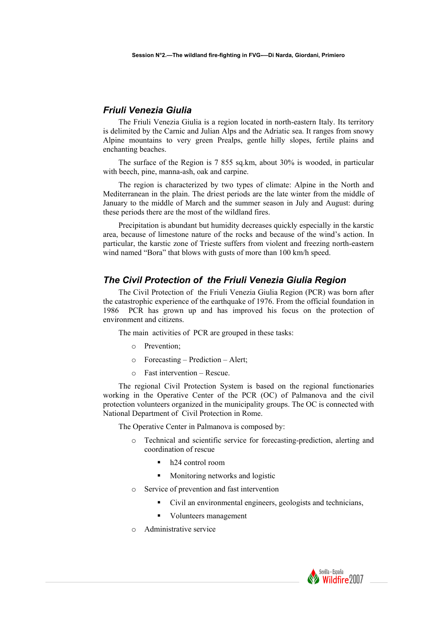#### *Friuli Venezia Giulia*

The Friuli Venezia Giulia is a region located in north-eastern Italy. Its territory is delimited by the Carnic and Julian Alps and the Adriatic sea. It ranges from snowy Alpine mountains to very green Prealps, gentle hilly slopes, fertile plains and enchanting beaches.

The surface of the Region is 7 855 sq.km, about 30% is wooded, in particular with beech, pine, manna-ash, oak and carpine.

The region is characterized by two types of climate: Alpine in the North and Mediterranean in the plain. The driest periods are the late winter from the middle of January to the middle of March and the summer season in July and August: during these periods there are the most of the wildland fires.

Precipitation is abundant but humidity decreases quickly especially in the karstic area, because of limestone nature of the rocks and because of the wind's action. In particular, the karstic zone of Trieste suffers from violent and freezing north-eastern wind named "Bora" that blows with gusts of more than 100 km/h speed.

#### *The Civil Protection of the Friuli Venezia Giulia Region*

The Civil Protection of the Friuli Venezia Giulia Region (PCR) was born after the catastrophic experience of the earthquake of 1976. From the official foundation in 1986 PCR has grown up and has improved his focus on the protection of environment and citizens.

The main activities of PCR are grouped in these tasks:

- o Prevention;
- o Forecasting Prediction Alert;
- o Fast intervention Rescue.

The regional Civil Protection System is based on the regional functionaries working in the Operative Center of the PCR (OC) of Palmanova and the civil protection volunteers organized in the municipality groups. The OC is connected with National Department of Civil Protection in Rome.

The Operative Center in Palmanova is composed by:

- Technical and scientific service for forecasting-prediction, alerting and coordination of rescue
	- h24 control room
	- **Monitoring networks and logistic**
- o Service of prevention and fast intervention
	- Civil an environmental engineers, geologists and technicians,
	- Volunteers management
- Administrative service

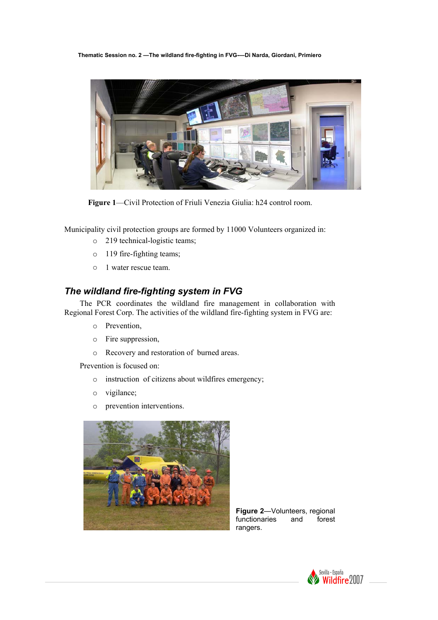**Thematic Session no. 2 —The wildland fire-fighting in FVG-—Di Narda, Giordani, Primiero** 



 **Figure 1**—Civil Protection of Friuli Venezia Giulia: h24 control room.

Municipality civil protection groups are formed by 11000 Volunteers organized in:

- o 219 technical-logistic teams;
- o 119 fire-fighting teams;
- o 1 water rescue team.

## *The wildland fire-fighting system in FVG*

The PCR coordinates the wildland fire management in collaboration with Regional Forest Corp. The activities of the wildland fire-fighting system in FVG are:

- o Prevention,
- o Fire suppression,
- o Recovery and restoration of burned areas.

Prevention is focused on:

- o instruction of citizens about wildfires emergency;
- o vigilance;
- o prevention interventions.



**Figure 2**—Volunteers, regional functionaries and forest functionaries and rangers.

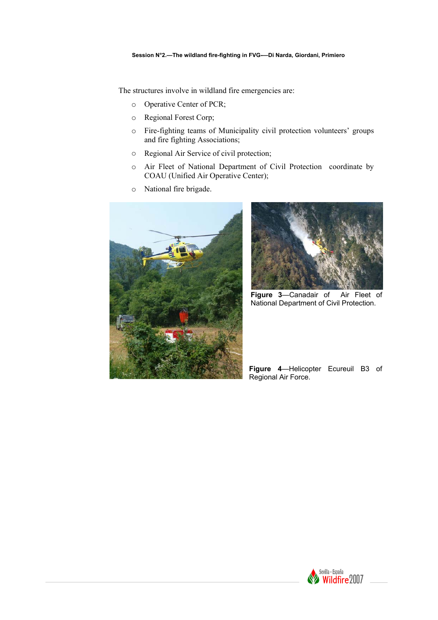The structures involve in wildland fire emergencies are:

- o Operative Center of PCR;
- o Regional Forest Corp;
- o Fire-fighting teams of Municipality civil protection volunteers' groups and fire fighting Associations;
- o Regional Air Service of civil protection;
- o Air Fleet of National Department of Civil Protection coordinate by COAU (Unified Air Operative Center);
- o National fire brigade.





**Figure 3**—Canadair of Air Fleet of National Department of Civil Protection.

**Figure 4**—Helicopter Ecureuil B3 of Regional Air Force.

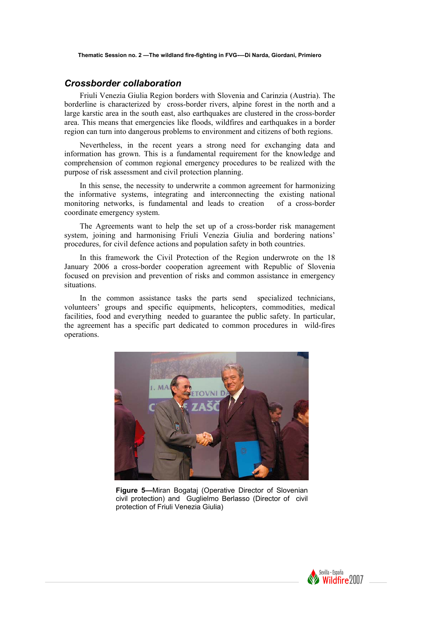#### *Crossborder collaboration*

Friuli Venezia Giulia Region borders with Slovenia and Carinzia (Austria). The borderline is characterized by cross-border rivers, alpine forest in the north and a large karstic area in the south east, also earthquakes are clustered in the cross-border area. This means that emergencies like floods, wildfires and earthquakes in a border region can turn into dangerous problems to environment and citizens of both regions.

Nevertheless, in the recent years a strong need for exchanging data and information has grown. This is a fundamental requirement for the knowledge and comprehension of common regional emergency procedures to be realized with the purpose of risk assessment and civil protection planning.

In this sense, the necessity to underwrite a common agreement for harmonizing the informative systems, integrating and interconnecting the existing national monitoring networks, is fundamental and leads to creation of a cross-border coordinate emergency system.

The Agreements want to help the set up of a cross-border risk management system, joining and harmonising Friuli Venezia Giulia and bordering nations' procedures, for civil defence actions and population safety in both countries.

In this framework the Civil Protection of the Region underwrote on the 18 January 2006 a cross-border cooperation agreement with Republic of Slovenia focused on prevision and prevention of risks and common assistance in emergency situations.

In the common assistance tasks the parts send specialized technicians, volunteers' groups and specific equipments, helicopters, commodities, medical facilities, food and everything needed to guarantee the public safety. In particular, the agreement has a specific part dedicated to common procedures in wild-fires operations.



**Figure 5—**Miran Bogataj (Operative Director of Slovenian civil protection) and Guglielmo Berlasso (Director of civil protection of Friuli Venezia Giulia)